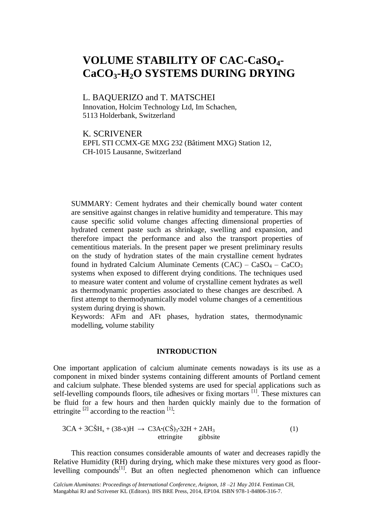# **VOLUME STABILITY OF CAC-CaSO4- CaCO3-H2O SYSTEMS DURING DRYING**

## L. BAQUERIZO and T. MATSCHEI

Innovation, Holcim Technology Ltd, Im Schachen, 5113 Holderbank, Switzerland

K. SCRIVENER

EPFL STI CCMX-GE MXG 232 (Bâtiment MXG) Station 12, CH-1015 Lausanne, Switzerland

SUMMARY: Cement hydrates and their chemically bound water content are sensitive against changes in relative humidity and temperature. This may cause specific solid volume changes affecting dimensional properties of hydrated cement paste such as shrinkage, swelling and expansion, and therefore impact the performance and also the transport properties of cementitious materials. In the present paper we present preliminary results on the study of hydration states of the main crystalline cement hydrates found in hydrated Calcium Aluminate Cements  $(CAC) - CaSO<sub>4</sub> - CaCO<sub>3</sub>$ systems when exposed to different drying conditions. The techniques used to measure water content and volume of crystalline cement hydrates as well as thermodynamic properties associated to these changes are described. A first attempt to thermodynamically model volume changes of a cementitious system during drying is shown.

Keywords: AFm and AFt phases, hydration states, thermodynamic modelling, volume stability

#### **INTRODUCTION**

One important application of calcium aluminate cements nowadays is its use as a component in mixed binder systems containing different amounts of Portland cement and calcium sulphate. These blended systems are used for special applications such as self-levelling compounds floors, tile adhesives or fixing mortars <sup>[1]</sup>. These mixtures can be fluid for a few hours and then harden quickly mainly due to the formation of ettringite  $^{[2]}$  according to the reaction  $^{[1]}$ :

$$
3CA + 3C\hat{S}H_x + (38-x)H \rightarrow C3A \cdot (C\hat{S})_3 \cdot 32H + 2AH_3
$$
  
ettingite gibhsite (1)

This reaction consumes considerable amounts of water and decreases rapidly the Relative Humidity (RH) during drying, which make these mixtures very good as floorlevelling compounds $^{[1]}$ . But an often neglected phenomenon which can influence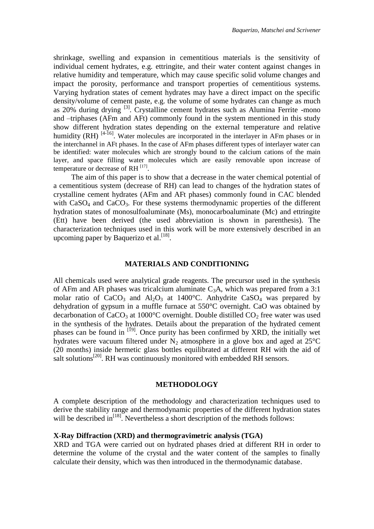shrinkage, swelling and expansion in cementitious materials is the sensitivity of individual cement hydrates, e.g. ettringite, and their water content against changes in relative humidity and temperature, which may cause specific solid volume changes and impact the porosity, performance and transport properties of cementitious systems. Varying hydration states of cement hydrates may have a direct impact on the specific density/volume of cement paste, e.g. the volume of some hydrates can change as much as 20% during drying [3]. Crystalline cement hydrates such as Alumina Ferrite -mono and –triphases (AFm and AFt) commonly found in the system mentioned in this study show different hydration states depending on the external temperature and relative humidity  $(RH)$  <sup>[4-16]</sup>. Water molecules are incorporated in the interlayer in AFm phases or in the interchannel in AFt phases. In the case of AFm phases different types of interlayer water can be identified: water molecules which are strongly bound to the calcium cations of the main layer, and space filling water molecules which are easily removable upon increase of temperature or decrease of RH $^{[17]}$ .

The aim of this paper is to show that a decrease in the water chemical potential of a cementitious system (decrease of RH) can lead to changes of the hydration states of crystalline cement hydrates (AFm and AFt phases) commonly found in CAC blended with  $CaSO<sub>4</sub>$  and  $CaCO<sub>3</sub>$ . For these systems thermodynamic properties of the different hydration states of monosulfoaluminate (Ms), monocarboaluminate (Mc) and ettringite (Ett) have been derived (the used abbreviation is shown in parenthesis). The characterization techniques used in this work will be more extensively described in an upcoming paper by Baquerizo et al.<sup>[18]</sup>.

#### **MATERIALS AND CONDITIONING**

All chemicals used were analytical grade reagents. The precursor used in the synthesis of AFm and AFt phases was tricalcium aluminate  $C_3A$ , which was prepared from a 3:1 molar ratio of  $CaCO<sub>3</sub>$  and  $Al<sub>2</sub>O<sub>3</sub>$  at 1400°C. Anhydrite CaSO<sub>4</sub> was prepared by dehydration of gypsum in a muffle furnace at 550°C overnight. CaO was obtained by decarbonation of  $CaCO<sub>3</sub>$  at 1000°C overnight. Double distilled  $CO<sub>2</sub>$  free water was used in the synthesis of the hydrates. Details about the preparation of the hydrated cement phases can be found in [19]. Once purity has been confirmed by XRD, the initially wet hydrates were vacuum filtered under  $N_2$  atmosphere in a glove box and aged at 25 $\degree$ C (20 months) inside hermetic glass bottles equilibrated at different RH with the aid of salt solutions<sup>[20]</sup>. RH was continuously monitored with embedded RH sensors.

#### **METHODOLOGY**

A complete description of the methodology and characterization techniques used to derive the stability range and thermodynamic properties of the different hydration states will be described in<sup>[18]</sup>. Nevertheless a short description of the methods follows:

#### **X-Ray Diffraction (XRD) and thermogravimetric analysis (TGA)**

XRD and TGA were carried out on hydrated phases dried at different RH in order to determine the volume of the crystal and the water content of the samples to finally calculate their density, which was then introduced in the thermodynamic database.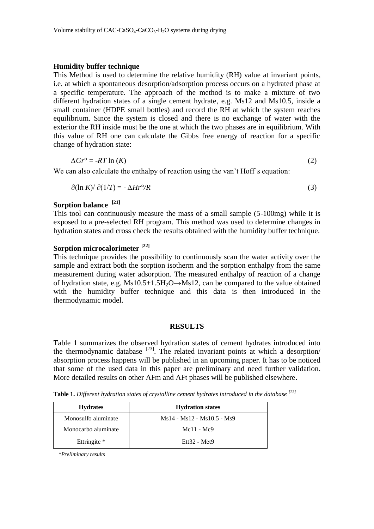#### **Humidity buffer technique**

This Method is used to determine the relative humidity (RH) value at invariant points, i.e. at which a spontaneous desorption/adsorption process occurs on a hydrated phase at a specific temperature. The approach of the method is to make a mixture of two different hydration states of a single cement hydrate, e.g. Ms12 and Ms10.5, inside a small container (HDPE small bottles) and record the RH at which the system reaches equilibrium. Since the system is closed and there is no exchange of water with the exterior the RH inside must be the one at which the two phases are in equilibrium. With this value of RH one can calculate the Gibbs free energy of reaction for a specific change of hydration state:

$$
\Delta Gr^{\circ} = -RT \ln(K) \tag{2}
$$

We can also calculate the enthalpy of reaction using the van't Hoff's equation:

$$
\partial(\ln K)/\partial(1/T) = -\Delta H r^{\circ}/R \tag{3}
$$

# **Sorption balance [21]**

This tool can continuously measure the mass of a small sample (5-100mg) while it is exposed to a pre-selected RH program. This method was used to determine changes in hydration states and cross check the results obtained with the humidity buffer technique.

## **Sorption microcalorimeter [22]**

This technique provides the possibility to continuously scan the water activity over the sample and extract both the sorption isotherm and the sorption enthalpy from the same measurement during water adsorption. The measured enthalpy of reaction of a change of hydration state, e.g.  $Ms10.5+1.5H_2O \rightarrow Ms12$ , can be compared to the value obtained with the humidity buffer technique and this data is then introduced in the thermodynamic model.

#### **RESULTS**

Table 1 summarizes the observed hydration states of cement hydrates introduced into the thermodynamic database  $[23]$ . The related invariant points at which a desorption/ absorption process happens will be published in an upcoming paper. It has to be noticed that some of the used data in this paper are preliminary and need further validation. More detailed results on other AFm and AFt phases will be published elsewhere.

**Table 1.** *Different hydration states of crystalline cement hydrates introduced in the database [23]*

| <b>Hydrates</b>     | <b>Hydration states</b>    |  |
|---------------------|----------------------------|--|
| Monosulfo aluminate | Ms14 - Ms12 - Ms10.5 - Ms9 |  |
| Monocarbo aluminate | $Mc11 - Mc9$               |  |
| Ettringite *        | $Et132 - Met9$             |  |

*\*Preliminary results*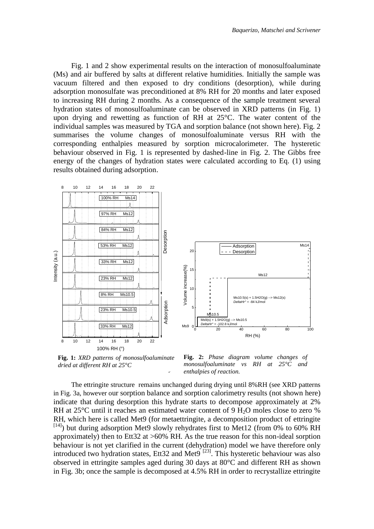Fig. 1 and 2 show experimental results on the interaction of monosulfoaluminate (Ms) and air buffered by salts at different relative humidities. Initially the sample was vacuum filtered and then exposed to dry conditions (desorption), while during adsorption monosulfate was preconditioned at 8% RH for 20 months and later exposed to increasing RH during 2 months. As a consequence of the sample treatment several hydration states of monosulfoaluminate can be observed in XRD patterns (in Fig. 1) upon drying and rewetting as function of RH at 25°C. The water content of the individual samples was measured by TGA and sorption balance (not shown here). Fig. 2 summarises the volume changes of monosulfoaluminate versus RH with the corresponding enthalpies measured by sorption microcalorimeter. The hysteretic behaviour observed in Fig. 1 is represented by dashed-line in Fig. 2. The Gibbs free energy of the changes of hydration states were calculated according to Eq. (1) using results obtained during adsorption.



**Fig. 1:** *XRD patterns of monosulfoaluminate dried at different RH at 25°C*

are appreciately on the volume stability of eaction.<br> *enthalpies of reaction*. **Fig. 2:** *Phase diagram volume changes of monosulfoaluminate vs RH at 25°C and* 

The ettringite structure remains unchanged during drying until 8%RH (see XRD patterns in Fig. 3a, however our sorption balance and sorption calorimetry results (not shown here) indicate that during desorption this hydrate starts to decompose approximately at 2% RH at  $25^{\circ}$ C until it reaches an estimated water content of 9 H<sub>2</sub>O moles close to zero % RH, which here is called Met9 (for metaettringite, a decomposition product of ettringite  $^{[14]}$ ) but during adsorption Met9 slowly rehydrates first to Met12 (from 0% to 60% RH approximately) then to Ett32 at >60% RH. As the true reason for this non-ideal sorption behaviour is not yet clarified in the current (dehydration) model we have therefore only introduced two hydration states, Ett32 and Met9  $\frac{[23]}{[23]}$ . This hysteretic behaviour was also observed in ettringite samples aged during 30 days at 80°C and different RH as shown in Fig. 3b; once the sample is decomposed at 4.5% RH in order to recrystallize ettringite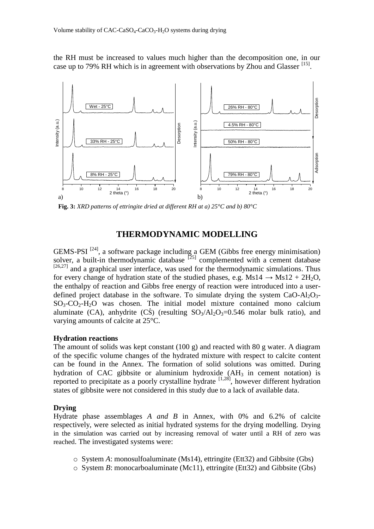the RH must be increased to values much higher than the decomposition one, in our case up to 79% RH which is in agreement with observations by Zhou and Glasser [15].



**Fig. 3:** *XRD patterns of ettringite dried at different RH at a) 25°C and b) 80°C*

# **THERMODYNAMIC MODELLING**

GEMS-PSI  $^{[24]}$ , a software package including a GEM (Gibbs free energy minimisation) solver, a built-in thermodynamic database  $[25]$  complemented with a cement database  $[26,27]$  and a graphical user interface, was used for the thermodynamic simulations. Thus for every change of hydration state of the studied phases, e.g.  $Ms14 \rightarrow Ms12 + 2H_2O$ , the enthalpy of reaction and Gibbs free energy of reaction were introduced into a userdefined project database in the software. To simulate drying the system  $CaO-Al_2O_3$ - $SO_3$ - $CO_2$ - $H_2O$  was chosen. The initial model mixture contained mono calcium aluminate (CA), anhydrite (CS) (resulting  $SO_3/Al_2O_3=0.546$  molar bulk ratio), and varying amounts of calcite at 25°C.

#### **Hydration reactions**

The amount of solids was kept constant (100 g) and reacted with 80 g water. A diagram of the specific volume changes of the hydrated mixture with respect to calcite content can be found in the Annex. The formation of solid solutions was omitted. During hydration of CAC gibbsite or aluminium hydroxide  $(AH<sub>3</sub>$  in cement notation) is reported to precipitate as a poorly crystalline hydrate <sup>[1,28]</sup>, however different hydration states of gibbsite were not considered in this study due to a lack of available data.

#### **Drying**

Hydrate phase assemblages *A and B* in Annex, with 0% and 6.2% of calcite respectively, were selected as initial hydrated systems for the drying modelling. Drying in the simulation was carried out by increasing removal of water until a RH of zero was reached. The investigated systems were:

- o System *A*: monosulfoaluminate (Ms14), ettringite (Ett32) and Gibbsite (Gbs)
- o System *B*: monocarboaluminate (Mc11), ettringite (Ett32) and Gibbsite (Gbs)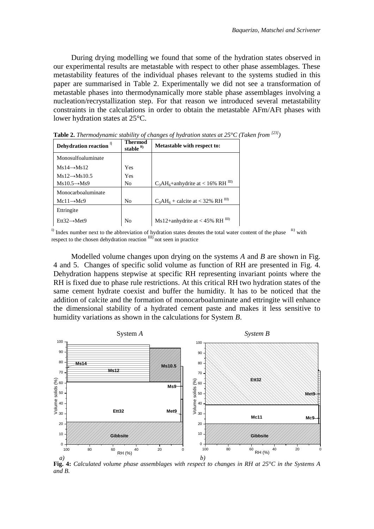During drying modelling we found that some of the hydration states observed in our experimental results are metastable with respect to other phase assemblages. These metastability features of the individual phases relevant to the systems studied in this paper are summarised in Table 2. Experimentally we did not see a transformation of metastable phases into thermodynamically more stable phase assemblages involving a nucleation/recrystallization step. For that reason we introduced several metastability constraints in the calculations in order to obtain the metastable AFm/AFt phases with lower hydration states at 25°C.

| Dehydration reaction <sup>1)</sup> | Thermod<br>stable $\mathbf{u}$ | <b>Metastable with respect to:</b>        |
|------------------------------------|--------------------------------|-------------------------------------------|
| Monosulfoaluminate                 |                                |                                           |
| $Ms14 \rightarrow Ms12$            | Yes                            |                                           |
| $Ms12 \rightarrow Ms10.5$          | Yes                            |                                           |
| $Ms10.5 \rightarrow Ms9$           | No                             | $C_3AH_6+$ anhydrite at < 16% RH $^{III}$ |
| Monocarboaluminate                 |                                |                                           |
| $Mc11 \rightarrow Mc9$             | No                             | $C_3AH_6 +$ calcite at < 32% RH $^{III}$  |
| Ettringite                         |                                |                                           |
| $Et132 \rightarrow Met9$           | No                             | Ms12+anhydrite at < 45% RH $\text{III}$ ) |

**Table 2.** *Thermodynamic stability of changes of hydration states at 25°C (Taken from [23])* 

Modelled volume changes upon drying on the systems *A* and *B* are shown in Fig. 4 and 5. Changes of specific solid volume as function of RH are presented in Fig. 4. Dehydration happens stepwise at specific RH representing invariant points where the RH is fixed due to phase rule restrictions. At this critical RH two hydration states of the same cement hydrate coexist and buffer the humidity. It has to be noticed that the addition of calcite and the formation of monocarboaluminate and ettringite will enhance the dimensional stability of a hydrated cement paste and makes it less sensitive to humidity variations as shown in the calculations for System *B*.



**Fig. 4:** *Calculated volume phase assemblages with respect to changes in RH at 25°C in the Systems A and B.*

I) Index number next to the abbreviation of hydration states denotes the total water content of the phase  $\Box$  with respect to the chosen dehydration reaction  $\text{III}$ ) not seen in practice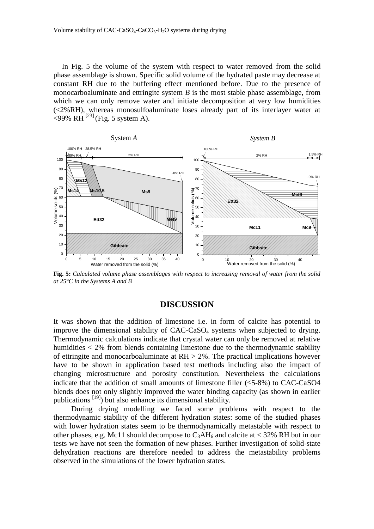In Fig. 5 the volume of the system with respect to water removed from the solid phase assemblage is shown. Specific solid volume of the hydrated paste may decrease at constant RH due to the buffering effect mentioned before. Due to the presence of monocarboaluminate and ettringite system *B* is the most stable phase assemblage, from which we can only remove water and initiate decomposition at very low humidities (<2%RH), whereas monosulfoaluminate loses already part of its interlayer water at  $\langle 99\% \text{ RH}^{[23]}$  (Fig. 5 system A).



**Fig. 5:** *Calculated volume phase assemblages with respect to increasing removal of water from the solid at 25°C in the Systems A and B*

## **DISCUSSION**

It was shown that the addition of limestone i.e. in form of calcite has potential to improve the dimensional stability of CAC-CaSO<sub>4</sub> systems when subjected to drying. Thermodynamic calculations indicate that crystal water can only be removed at relative humidities < 2% from blends containing limestone due to the thermodynamic stability of ettringite and monocarboaluminate at RH > 2%. The practical implications however have to be shown in application based test methods including also the impact of changing microstructure and porosity constitution. Nevertheless the calculations indicate that the addition of small amounts of limestone filler  $(\leq 5-8\%)$  to CAC-CaSO4 blends does not only slightly improved the water binding capacity (as shown in earlier publications [19]) but also enhance its dimensional stability.

During drying modelling we faced some problems with respect to the thermodynamic stability of the different hydration states: some of the studied phases with lower hydration states seem to be thermodynamically metastable with respect to other phases, e.g. Mc11 should decompose to  $C_3AH_6$  and calcite at < 32% RH but in our tests we have not seen the formation of new phases. Further investigation of solid-state dehydration reactions are therefore needed to address the metastability problems observed in the simulations of the lower hydration states.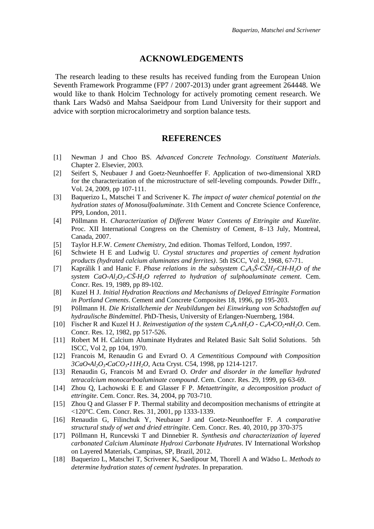# **ACKNOWLEDGEMENTS**

The research leading to these results has received funding from the European Union Seventh Framework Programme (FP7 / 2007-2013) under grant agreement 264448. We would like to thank Holcim Technology for actively promoting cement research. We thank Lars Wadsö and Mahsa Saeidpour from Lund University for their support and advice with sorption microcalorimetry and sorption balance tests.

# **REFERENCES**

- [1] Newman J and Choo BS. *Advanced Concrete Technology. Constituent Materials*. Chapter 2. Elsevier, 2003.
- [2] Seifert S, Neubauer J and Goetz-Neunhoeffer F. Application of two-dimensional XRD for the characterization of the microstructure of self-leveling compounds. Powder Diffr., Vol. 24, 2009, pp 107-111.
- [3] Baquerizo L, Matschei T and Scrivener K. *The impact of water chemical potential on the hydration states of Monosulfoaluminate*. 31th Cement and Concrete Science Conference, PP9, London, 2011.
- [4] Pöllmann H. *Characterization of Different Water Contents of Ettringite and Kuzelite*. Proc. XII International Congress on the Chemistry of Cement, 8–13 July, Montreal, Canada, 2007.
- [5] Taylor H.F.W. *Cement Chemistry*, 2nd edition. Thomas Telford, London, 1997.
- [6] Schwiete H E and Ludwig U*. Crystal structures and properties of cement hydration products (hydrated calcium aluminates and ferrites)*. 5th ISCC, Vol 2, 1968, 67-71.
- [7] Kaprálik I and Hanic F. *Phase relations in the subsystem*  $C_4A_3\bar{S}\text{-}C\bar{S}H_2\text{-}CH\text{-}H_2O$  *of the system CaO-Al*<sub>2</sub>O<sub>3</sub>-C<sub>2</sub><sup>*C*</sup> $H_2$ <sup>*O*</sup> referred to hydration of sulphoaluminate cement. Cem. Concr. Res. 19, 1989, pp 89-102.
- [8] Kuzel H J. *Initial Hydration Reactions and Mechanisms of Delayed Ettringite Formation in Portland Cements*. Cement and Concrete Composites 18, 1996, pp 195-203.
- [9] Pöllmann H. *Die Kristallchemie der Neubildungen bei Einwirkung von Schadstoffen auf hydraulische Bindemittel*. PhD-Thesis, University of Erlangen-Nuernberg, 1984.
- [10] Fischer R and Kuzel H J. *Reinvestigation of the system*  $C_4A.nH_2O C_4A \cdot CO_2 \cdot nH_2O$ *.* Cem. Concr. Res. 12, 1982, pp 517-526.
- [11] Robert M H. Calcium Aluminate Hydrates and Related Basic Salt Solid Solutions. 5th ISCC, Vol 2, pp 104, 1970.
- [12] Francois M, Renaudin G and Evrard O. *A Cementitious Compound with Composition 3CaO•Al2O3•CaCO3•11H2O*, Acta Cryst. C54, 1998, pp 1214-1217.
- [13] Renaudin G, Francois M and Evrard O. *Order and disorder in the lamellar hydrated tetracalcium monocarboaluminate compound*. Cem. Concr. Res. 29, 1999, pp 63-69.
- [14] Zhou Q, Lachowski E E and Glasser F P. *Metaettringite, a decomposition product of ettringite*. Cem. Concr. Res. 34, 2004, pp 703-710.
- [15] Zhou Q and Glasser F P. Thermal stability and decomposition mechanisms of ettringite at <120°C. Cem. Concr. Res. 31, 2001, pp 1333-1339.
- [16] Renaudin G, Filinchuk Y, Neubauer J and Goetz-Neunhoeffer F. *A comparative structural study of wet and dried ettringite*. Cem. Concr. Res. 40, 2010, pp 370-375
- [17] Pöllmann H, Runcevski T and Dinnebier R. *Synthesis and characterization of layered carbonated Calcium Aluminate Hydroxi Carbonate Hydrates*. IV International Workshop on Layered Materials, Campinas, SP, Brazil, 2012.
- [18] Baquerizo L, Matschei T, Scrivener K, Saedipour M, Thorell A and Wädso L. *Methods to determine hydration states of cement hydrates*. In preparation.